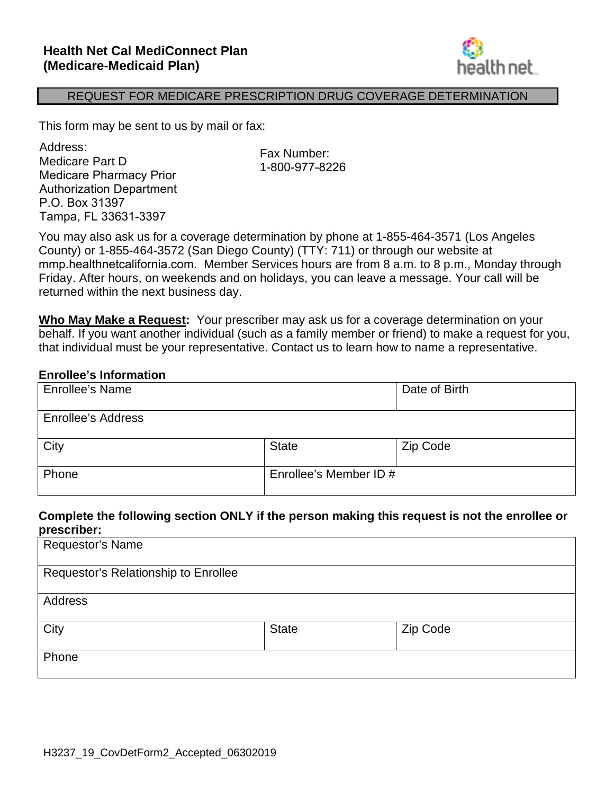

#### REQUEST FOR MEDICARE PRESCRIPTION DRUG COVERAGE DETERMINATION

This form may be sent to us by mail or fax:

 Medicare Part D wedicare Fart <del>D</del><br>Medicare Pharmacy Prior Tampa, FL 33631-3397 Address: Authorization Department P.O. Box 31397

Fax Number: 1-800-977-8226

 County) or 1-855-464-3572 (San Diego County) (TTY: 711) or through our website at mmp.healthnetcalifornia.com. Member Services hours are from 8 a.m. to 8 p.m., Monday through You may also ask us for a coverage determination by phone at 1-855-464-3571 (Los Angeles Friday. After hours, on weekends and on holidays, you can leave a message. Your call will be returned within the next business day.

 **Who May Make a Request:** Your prescriber may ask us for a coverage determination on your behalf. If you want another individual (such as a family member or friend) to make a request for you, that individual must be your representative. Contact us to learn how to name a representative.

#### **Enrollee's Information**

| <b>Enrollee's Name</b>    |                        | Date of Birth |
|---------------------------|------------------------|---------------|
| <b>Enrollee's Address</b> |                        |               |
| City                      | <b>State</b>           | Zip Code      |
| Phone                     | Enrollee's Member ID # |               |

#### **Complete the following section ONLY if the person making this request is not the enrollee or prescriber:**

| Requestor's Name                     |              |          |
|--------------------------------------|--------------|----------|
| Requestor's Relationship to Enrollee |              |          |
| Address                              |              |          |
| City                                 | <b>State</b> | Zip Code |
| Phone                                |              |          |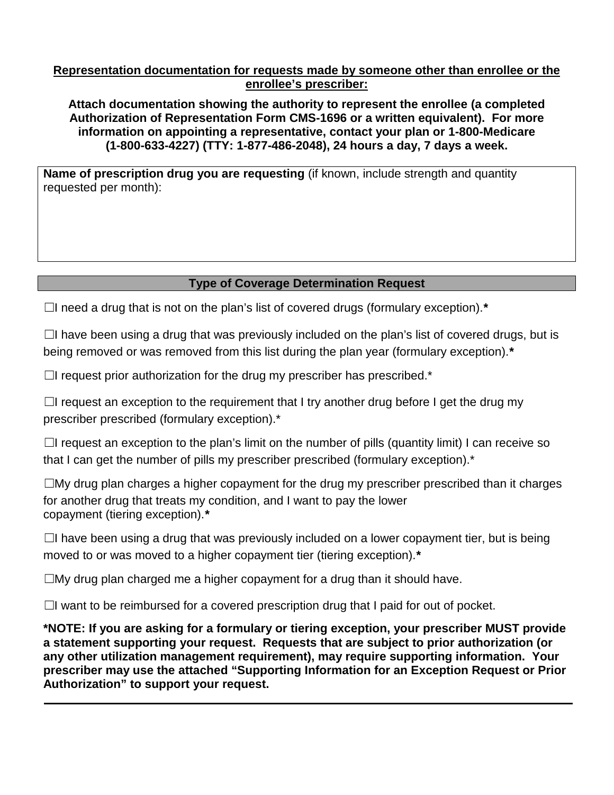#### **Representation documentation for requests made by someone other than enrollee or the enrollee's prescriber:**

**Attach documentation showing the authority to represent the enrollee (a completed Authorization of Representation Form CMS-1696 or a written equivalent). For more information on appointing a representative, contact your plan or 1-800-Medicare (1-800-633-4227) (TTY: 1-877-486-2048), 24 hours a day, 7 days a week.** 

 requested per month): **Name of prescription drug you are requesting** (if known, include strength and quantity

### **Type of Coverage Determination Request**

☐I need a drug that is not on the plan's list of covered drugs (formulary exception).*\**

 being removed or was removed from this list during the plan year (formulary exception).*\**  $\Box$ I have been using a drug that was previously included on the plan's list of covered drugs, but is

 $\Box$ I request prior authorization for the drug my prescriber has prescribed.\*

 $\Box$ I request an exception to the requirement that I try another drug before I get the drug my prescriber prescribed (formulary exception).\*

 $\Box$ I request an exception to the plan's limit on the number of pills (quantity limit) I can receive so that I can get the number of pills my prescriber prescribed (formulary exception).\*

 copayment (tiering exception).*\**   $\square$ My drug plan charges a higher copayment for the drug my prescriber prescribed than it charges for another drug that treats my condition, and I want to pay the lower

 $\Box$ I have been using a drug that was previously included on a lower copayment tier, but is being  moved to or was moved to a higher copayment tier (tiering exception).*\**

 $\square$ My drug plan charged me a higher copayment for a drug than it should have.

 $\Box$ I want to be reimbursed for a covered prescription drug that I paid for out of pocket.

 **prescriber may use the attached "Supporting Information for an Exception Request or Prior \*NOTE: If you are asking for a formulary or tiering exception, your prescriber MUST provide a statement supporting your request. Requests that are subject to prior authorization (or any other utilization management requirement), may require supporting information. Your Authorization" to support your request.**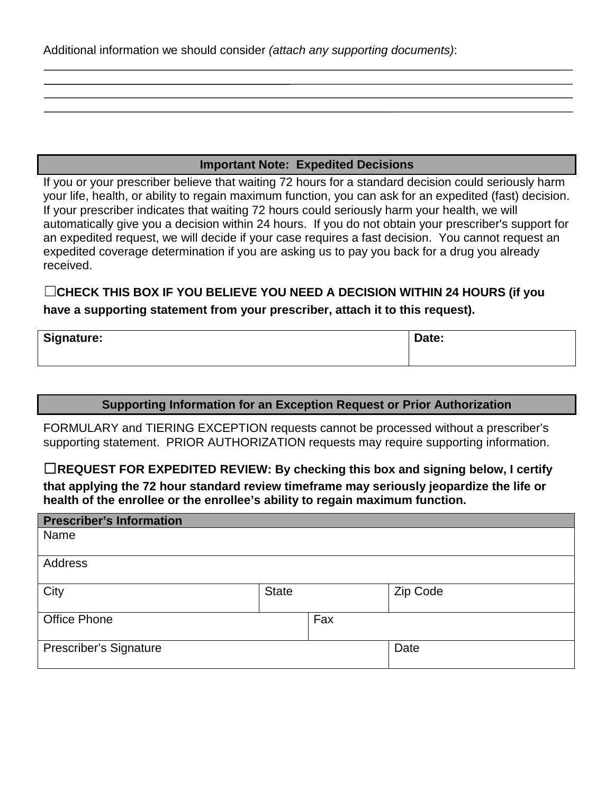Additional information we should consider *(attach any supporting documents)*:

## **Important Note: Expedited Decisions**

 your life, health, or ability to regain maximum function, you can ask for an expedited (fast) decision. automatically give you a decision within 24 hours. If you do not obtain your prescriber's support for If you or your prescriber believe that waiting 72 hours for a standard decision could seriously harm If your prescriber indicates that waiting 72 hours could seriously harm your health, we will an expedited request, we will decide if your case requires a fast decision. You cannot request an expedited coverage determination if you are asking us to pay you back for a drug you already received.

☐ **CHECK THIS BOX IF YOU BELIEVE YOU NEED A DECISION WITHIN 24 HOURS (if you have a supporting statement from your prescriber, attach it to this request).**

| Signature: | Date: |
|------------|-------|
|------------|-------|

### **Supporting Information for an Exception Request or Prior Authorization**

 supporting statement. PRIOR AUTHORIZATION requests may require supporting information. FORMULARY and TIERING EXCEPTION requests cannot be processed without a prescriber's

□REQUEST FOR EXPEDITED REVIEW: By checking this box and signing below, I certify **that applying the 72 hour standard review timeframe may seriously jeopardize the life or health of the enrollee or the enrollee's ability to regain maximum function.** 

| <b>Prescriber's Information</b> |              |     |          |
|---------------------------------|--------------|-----|----------|
| Name                            |              |     |          |
|                                 |              |     |          |
| Address                         |              |     |          |
|                                 |              |     |          |
| City                            | <b>State</b> |     | Zip Code |
|                                 |              |     |          |
| <b>Office Phone</b>             |              | Fax |          |
|                                 |              |     |          |
| <b>Prescriber's Signature</b>   |              |     | Date     |
|                                 |              |     |          |
|                                 |              |     |          |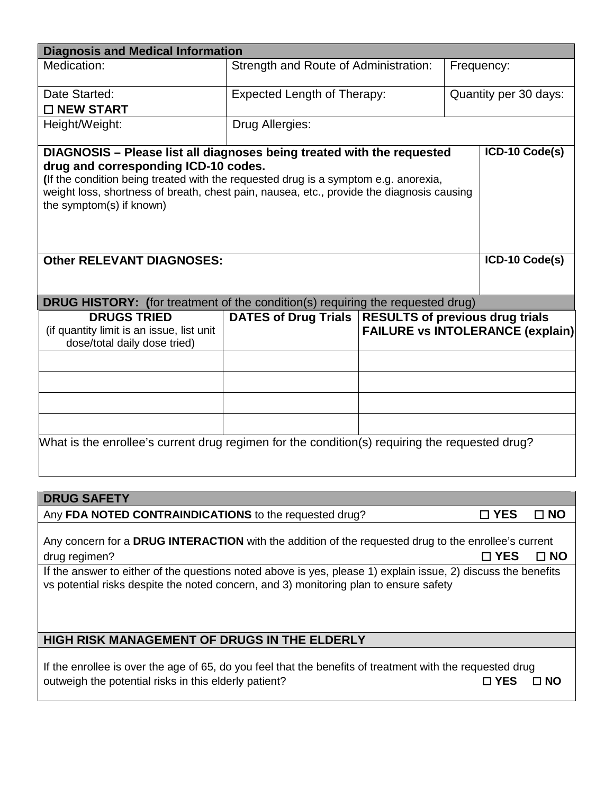| <b>Diagnosis and Medical Information</b>                                                                              |                                       |                                                                                                   |  |                       |  |
|-----------------------------------------------------------------------------------------------------------------------|---------------------------------------|---------------------------------------------------------------------------------------------------|--|-----------------------|--|
| Medication:                                                                                                           | Strength and Route of Administration: |                                                                                                   |  | Frequency:            |  |
| Date Started:                                                                                                         | <b>Expected Length of Therapy:</b>    |                                                                                                   |  | Quantity per 30 days: |  |
| □ NEW START                                                                                                           |                                       |                                                                                                   |  |                       |  |
| Height/Weight:                                                                                                        | Drug Allergies:                       |                                                                                                   |  |                       |  |
| DIAGNOSIS - Please list all diagnoses being treated with the requested<br>drug and corresponding ICD-10 codes.        |                                       |                                                                                                   |  | ICD-10 Code(s)        |  |
| (If the condition being treated with the requested drug is a symptom e.g. anorexia,                                   |                                       |                                                                                                   |  |                       |  |
| weight loss, shortness of breath, chest pain, nausea, etc., provide the diagnosis causing<br>the symptom(s) if known) |                                       |                                                                                                   |  |                       |  |
|                                                                                                                       |                                       |                                                                                                   |  |                       |  |
| <b>Other RELEVANT DIAGNOSES:</b>                                                                                      |                                       |                                                                                                   |  | ICD-10 Code(s)        |  |
|                                                                                                                       |                                       |                                                                                                   |  |                       |  |
| DRUG HISTORY: (for treatment of the condition(s) requiring the requested drug)                                        |                                       |                                                                                                   |  |                       |  |
| <b>DRUGS TRIED</b><br>(if quantity limit is an issue, list unit<br>dose/total daily dose tried)                       |                                       | DATES of Drug Trials   RESULTS of previous drug trials<br><b>FAILURE vs INTOLERANCE (explain)</b> |  |                       |  |
|                                                                                                                       |                                       |                                                                                                   |  |                       |  |
|                                                                                                                       |                                       |                                                                                                   |  |                       |  |
|                                                                                                                       |                                       |                                                                                                   |  |                       |  |
|                                                                                                                       |                                       |                                                                                                   |  |                       |  |
| What is the enrollee's current drug regimen for the condition(s) requiring the requested drug?                        |                                       |                                                                                                   |  |                       |  |

# **DRUG SAFETY**

Any **FDA NOTED CONTRAINDICATIONS** to the requested drug? ☐ **YES** ☐ **NO**

| Any concern for a DRUG INTERACTION with the addition of the requested drug to the enrollee's current |  |
|------------------------------------------------------------------------------------------------------|--|
| $\Box$ YES $\Box$ NO<br>drug regimen?                                                                |  |

 If the answer to either of the questions noted above is yes, please 1) explain issue, 2) discuss the benefits vs potential risks despite the noted concern, and 3) monitoring plan to ensure safety

# **HIGH RISK MANAGEMENT OF DRUGS IN THE ELDERLY**

 If the enrollee is over the age of 65, do you feel that the benefits of treatment with the requested drug outweigh the potential risks in this elderly patient? ☐ **YES** ☐ **NO**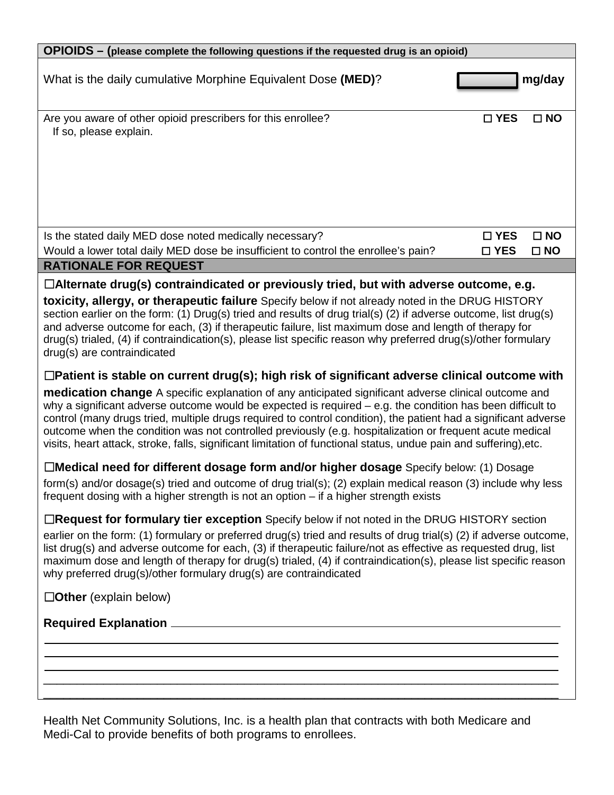| OPIOIDS - (please complete the following questions if the requested drug is an opioid)                                                                                                                                                                                                                                                                                                                                                                                                                                                                                                                                                                                                                 |               |              |  |  |
|--------------------------------------------------------------------------------------------------------------------------------------------------------------------------------------------------------------------------------------------------------------------------------------------------------------------------------------------------------------------------------------------------------------------------------------------------------------------------------------------------------------------------------------------------------------------------------------------------------------------------------------------------------------------------------------------------------|---------------|--------------|--|--|
| What is the daily cumulative Morphine Equivalent Dose (MED)?                                                                                                                                                                                                                                                                                                                                                                                                                                                                                                                                                                                                                                           |               | mg/day       |  |  |
| Are you aware of other opioid prescribers for this enrollee?<br>If so, please explain.                                                                                                                                                                                                                                                                                                                                                                                                                                                                                                                                                                                                                 | $\square$ YES | $\square$ NO |  |  |
|                                                                                                                                                                                                                                                                                                                                                                                                                                                                                                                                                                                                                                                                                                        |               |              |  |  |
| Is the stated daily MED dose noted medically necessary?                                                                                                                                                                                                                                                                                                                                                                                                                                                                                                                                                                                                                                                | $\square$ YES | $\square$ NO |  |  |
| Would a lower total daily MED dose be insufficient to control the enrollee's pain?                                                                                                                                                                                                                                                                                                                                                                                                                                                                                                                                                                                                                     | $\square$ YES | $\square$ NO |  |  |
| <b>RATIONALE FOR REQUEST</b><br>$\Box$ Alternate drug(s) contraindicated or previously tried, but with adverse outcome, e.g.                                                                                                                                                                                                                                                                                                                                                                                                                                                                                                                                                                           |               |              |  |  |
| toxicity, allergy, or therapeutic failure Specify below if not already noted in the DRUG HISTORY<br>section earlier on the form: (1) Drug(s) tried and results of drug trial(s) (2) if adverse outcome, list drug(s)<br>and adverse outcome for each, (3) if therapeutic failure, list maximum dose and length of therapy for<br>$drag(s)$ trialed, (4) if contraindication(s), please list specific reason why preferred drug(s)/other formulary<br>drug(s) are contraindicated<br>$\Box$ Patient is stable on current drug(s); high risk of significant adverse clinical outcome with<br><b>medication change</b> A specific explanation of any anticipated significant adverse clinical outcome and |               |              |  |  |
| why a significant adverse outcome would be expected is required - e.g. the condition has been difficult to<br>control (many drugs tried, multiple drugs required to control condition), the patient had a significant adverse<br>outcome when the condition was not controlled previously (e.g. hospitalization or frequent acute medical<br>visits, heart attack, stroke, falls, significant limitation of functional status, undue pain and suffering), etc.                                                                                                                                                                                                                                         |               |              |  |  |
| □Medical need for different dosage form and/or higher dosage Specify below: (1) Dosage                                                                                                                                                                                                                                                                                                                                                                                                                                                                                                                                                                                                                 |               |              |  |  |
| form(s) and/or dosage(s) tried and outcome of drug trial(s); (2) explain medical reason (3) include why less<br>frequent dosing with a higher strength is not an option - if a higher strength exists                                                                                                                                                                                                                                                                                                                                                                                                                                                                                                  |               |              |  |  |
| □Request for formulary tier exception Specify below if not noted in the DRUG HISTORY section<br>earlier on the form: (1) formulary or preferred drug(s) tried and results of drug trial(s) (2) if adverse outcome,<br>list drug(s) and adverse outcome for each, (3) if therapeutic failure/not as effective as requested drug, list<br>maximum dose and length of therapy for drug(s) trialed, (4) if contraindication(s), please list specific reason<br>why preferred drug(s)/other formulary drug(s) are contraindicated                                                                                                                                                                           |               |              |  |  |
| $\Box$ Other (explain below)                                                                                                                                                                                                                                                                                                                                                                                                                                                                                                                                                                                                                                                                           |               |              |  |  |
|                                                                                                                                                                                                                                                                                                                                                                                                                                                                                                                                                                                                                                                                                                        |               |              |  |  |
|                                                                                                                                                                                                                                                                                                                                                                                                                                                                                                                                                                                                                                                                                                        |               |              |  |  |
|                                                                                                                                                                                                                                                                                                                                                                                                                                                                                                                                                                                                                                                                                                        |               |              |  |  |

Health Net Community Solutions, Inc. is a health plan that contracts with both Medicare and Medi-Cal to provide benefits of both programs to enrollees.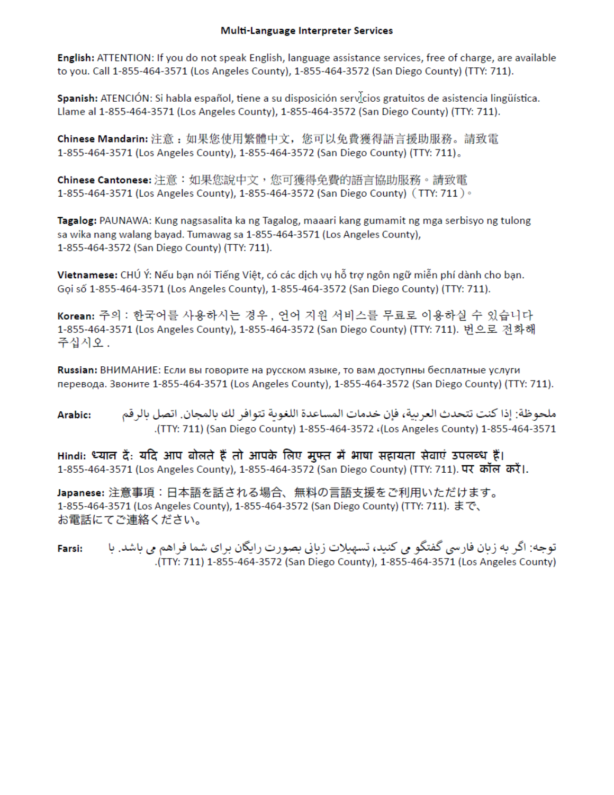#### Multi-Language Interpreter Services

English: ATTENTION: If you do not speak English, language assistance services, free of charge, are available to you. Call 1-855-464-3571 (Los Angeles County), 1-855-464-3572 (San Diego County) (TTY: 711).

Spanish: ATENCIÓN: Si habla español, tiene a su disposición servicios gratuitos de asistencia lingüística. Llame al 1-855-464-3571 (Los Angeles County), 1-855-464-3572 (San Diego County) (TTY: 711).

Chinese Mandarin: 注意: 如果您使用繁體中文, 您可以免費獲得語言援助服務。請致電 1-855-464-3571 (Los Angeles County), 1-855-464-3572 (San Diego County) (TTY: 711).

Chinese Cantonese: 注意:如果您說中文,您可獲得免費的語言協助服務。請致電 1-855-464-3571 (Los Angeles County), 1-855-464-3572 (San Diego County) (TTY: 711) .

Tagalog: PAUNAWA: Kung nagsasalita ka ng Tagalog, maaari kang gumamit ng mga serbisyo ng tulong sa wika nang walang bayad. Tumawag sa 1-855-464-3571 (Los Angeles County), 1-855-464-3572 (San Diego County) (TTY: 711).

Vietnamese: CHÚ Ý: Nếu bạn nói Tiếng Việt, có các dịch vụ hỗ trợ ngôn ngữ miễn phí dành cho bạn. Goi số 1-855-464-3571 (Los Angeles County), 1-855-464-3572 (San Diego County) (TTY: 711).

Korean: 주의 : 한국어를 사용하시는 경우, 언어 지원 서비스를 무료로 이용하실 수 있습니다 1-855-464-3571 (Los Angeles County), 1-855-464-3572 (San Diego County) (TTY: 711). 번으로 전화해 주십시오.

Russian: ВНИМАНИЕ: Если вы говорите на русском языке, то вам доступны бесплатные услуги перевода. Звоните 1-855-464-3571 (Los Angeles County), 1-855-464-3572 (San Diego County) (TTY: 711).

ملحوظة: إذا كنت تتحدث العربية، فإن خدمات المساعدة اللغوبة تتوافر لك بالمجان. اتصل بالرقم Arabic: .(TTY: 711) (San Diego County) 1-855-464-3572 (Los Angeles County) 1-855-464-3571).

Hindi: ध्यान दें: यदि आप बोलते हैं तो आपके लिए मुफ्त में भाषा सहायता सेवाएं उपलब्ध हैं। 1-855-464-3571 (Los Angeles County), 1-855-464-3572 (San Diego County) (TTY: 711). पर कॉल करें।.

Japanese: 注意事項: 日本語を話される場合、無料の言語支援をご利用いただけます。 1-855-464-3571 (Los Angeles County), 1-855-464-3572 (San Diego County) (TTY: 711). まで、 お電話にてご連絡ください。

توجه: اگر به زبان فارسی گفتگو می کنید، تسهیلات زبانی بصورت رایگان برای شما فراهم می باشد. با Farsi: (TTY: 711) 1-855-464-3572 (San Diego County), 1-855-464-3571 (Los Angeles County).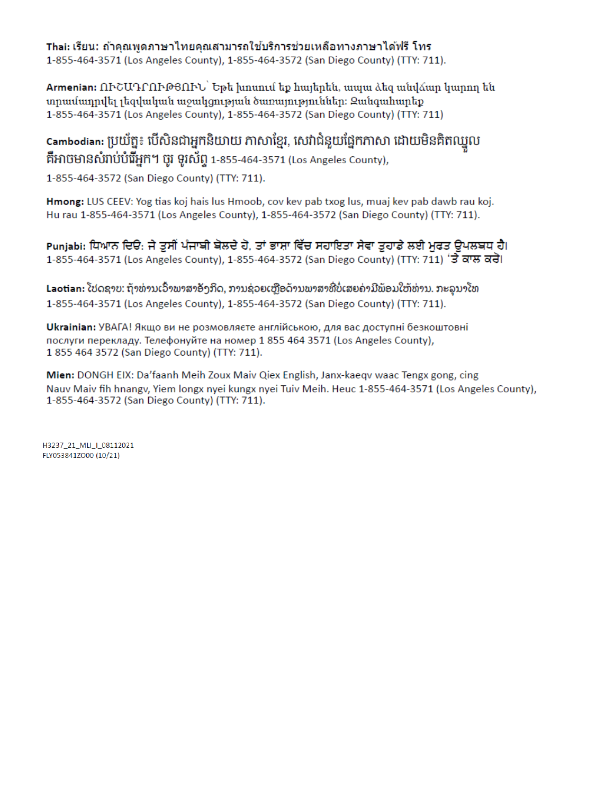Thai: เรียน: ถ้าคณพดภาษาไทยคณสามารถใช้บริการช่วยเหลือทางภาษาได้ฟรี โทร 1-855-464-3571 (Los Angeles County), 1-855-464-3572 (San Diego County) (TTY: 711).

Armenian: ՈՒՇԱԴՐՈՒԹՑՈՒՆ` Եթե խոսում եք հայերեն, ապա ձեզ անվձար կարող են տրամադրվել լեզվական աջակցության ծառայություններ։ Զանգահարեք 1-855-464-3571 (Los Angeles County), 1-855-464-3572 (San Diego County) (TTY: 711)

Cambodian: ប្រយ័ត្ន៖ បើសិនជាអ្នកនិយាយ ភាសាខ្មែរ, សេវាជំនួយផ្នែកភាសា ដោយមិនគិតឈ្នួល គឺអាចមានសំរាប់បំរើអ្នក។ ចូរ ទូរស័ព្ទ 1-855-464-3571 (Los Angeles County),

1-855-464-3572 (San Diego County) (TTY: 711).

Hmong: LUS CEEV: Yog tias koj hais lus Hmoob, cov kev pab txog lus, muaj kev pab dawb rau koj. Hu rau 1-855-464-3571 (Los Angeles County), 1-855-464-3572 (San Diego County) (TTY: 711).

Punjabi: ਧਿਆਨ ਦਿਓ: ਜੇ ਤਸੀਂ ਪੰਜਾਬੀ ਬੋਲਦੇ ਹੋ. ਤਾਂ ਭਾਸ਼ਾ ਵਿੱਚ ਸਹਾਇਤਾ ਸੇਵਾ ਤਹਾਡੇ ਲਈ ਮਫਤ ਉਪਲਬਧ ਹੈ। 1-855-464-3571 (Los Angeles County), 1-855-464-3572 (San Diego County) (TTY: 711) 'ਤੇ ਕਾਲ ਕਰੋ।

Laotian: ໂປດຊາບ: ຖ້າທ່ານເວົ້າພາສາອັງກິດ, ການຊ່ວຍເຫຼືອດ້ານພາສາທີ່ບໍ່ເສຍຄ່າມີພ້ອມໃຫ້ທ່ານ. ກະລຸນາໂທ 1-855-464-3571 (Los Angeles County), 1-855-464-3572 (San Diego County) (TTY: 711).

Ukrainian: УВАГА! Якщо ви не розмовляєте англійською, для вас доступні безкоштовні послуги перекладу. Телефонуйте на номер 1 855 464 3571 (Los Angeles County), 1855 464 3572 (San Diego County) (TTY: 711).

Mien: DONGH EIX: Da'faanh Meih Zoux Maiv Qiex English, Janx-kaeqv waac Tengx gong, cing Nauv Maiv fih hnangy, Yiem longx nyei kungx nyei Tuiv Meih. Heuc 1-855-464-3571 (Los Angeles County), 1-855-464-3572 (San Diego County) (TTY: 711).

H3237 21 MLI | 08112021 FLY053841ZO00 (10/21)